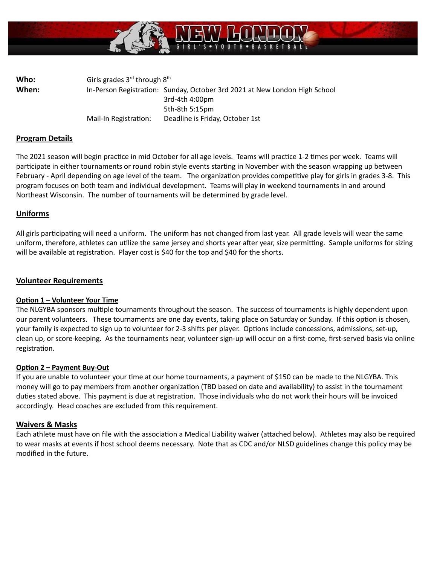

**Who:** Girls grades 3<sup>rd</sup> through 8<sup>th</sup> When: In-Person Registration: Sunday, October 3rd 2021 at New London High School 3rd-4th 4:00pm 5th-8th 5:15pm Mail-In Registration: Deadline is Friday, October 1st

# **Program Details**

The 2021 season will begin practice in mid October for all age levels. Teams will practice 1-2 times per week. Teams will participate in either tournaments or round robin style events starting in November with the season wrapping up between February - April depending on age level of the team. The organization provides competitive play for girls in grades 3-8. This program focuses on both team and individual development. Teams will play in weekend tournaments in and around Northeast Wisconsin. The number of tournaments will be determined by grade level.

### **Uniforms**

All girls participating will need a uniform. The uniform has not changed from last year. All grade levels will wear the same uniform, therefore, athletes can utilize the same jersey and shorts year after year, size permitting. Sample uniforms for sizing will be available at registration. Player cost is \$40 for the top and \$40 for the shorts.

### **Volunteer Requirements**

#### **Option 1 - Volunteer Your Time**

The NLGYBA sponsors multiple tournaments throughout the season. The success of tournaments is highly dependent upon our parent volunteers. These tournaments are one day events, taking place on Saturday or Sunday. If this option is chosen, your family is expected to sign up to volunteer for 2-3 shifts per player. Options include concessions, admissions, set-up, clean up, or score-keeping. As the tournaments near, volunteer sign-up will occur on a first-come, first-served basis via online registration.

#### **Opon 2 – Payment Buy-Out**

If you are unable to volunteer your time at our home tournaments, a payment of \$150 can be made to the NLGYBA. This money will go to pay members from another organization (TBD based on date and availability) to assist in the tournament duties stated above. This payment is due at registration. Those individuals who do not work their hours will be invoiced accordingly. Head coaches are excluded from this requirement.

#### **Waivers & Masks**

Each athlete must have on file with the association a Medical Liability waiver (attached below). Athletes may also be required to wear masks at events if host school deems necessary. Note that as CDC and/or NLSD guidelines change this policy may be modified in the future.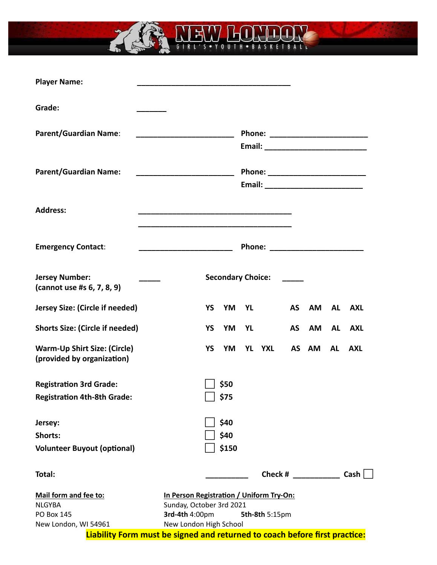

Ś,

| Grade:<br><b>Parent/Guardian Name:</b><br><u> 1989 - Johann Barn, mars an t-Amerikaansk kommunister (</u><br><b>Parent/Guardian Name:</b><br>Email: ___________________________<br><b>Address:</b><br><b>Emergency Contact:</b><br>Phone: __________________________<br>_________________________________<br><b>Jersey Number:</b><br><b>Secondary Choice:</b><br>(cannot use #s 6, 7, 8, 9)<br>Jersey Size: (Circle if needed)<br><b>YS</b><br>YM<br><b>AS</b><br><b>YL</b><br>AM<br><b>AL</b><br><b>AXL</b><br><b>Shorts Size: (Circle if needed)</b><br><b>YS</b><br>YM<br><b>AS</b><br>AM<br>YL<br>AL<br>AXL<br><b>Warm-Up Shirt Size: (Circle)</b><br><b>YS</b><br>YM<br><b>YL</b><br><b>YXL</b><br>AS<br>AM<br><b>AL</b><br><b>AXL</b><br>(provided by organization)<br>\$50<br><b>Registration 3rd Grade:</b><br>∫ \$75<br><b>Registration 4th-8th Grade:</b><br>\$40<br>Jersey:<br>\$40<br>Shorts:<br>\$150<br><b>Volunteer Buyout (optional)</b><br>Cash<br>Check #<br>Total:<br>Mail form and fee to:<br>In Person Registration / Uniform Try-On:<br>Sunday, October 3rd 2021<br><b>NLGYBA</b><br>3rd-4th 4:00pm<br><b>PO Box 145</b><br>5th-8th 5:15pm<br>New London High School<br>New London, WI 54961<br>Liability Form must be signed and returned to coach before first practice: | <b>Player Name:</b> |  |  |  |  |  |  |  |  |
|---------------------------------------------------------------------------------------------------------------------------------------------------------------------------------------------------------------------------------------------------------------------------------------------------------------------------------------------------------------------------------------------------------------------------------------------------------------------------------------------------------------------------------------------------------------------------------------------------------------------------------------------------------------------------------------------------------------------------------------------------------------------------------------------------------------------------------------------------------------------------------------------------------------------------------------------------------------------------------------------------------------------------------------------------------------------------------------------------------------------------------------------------------------------------------------------------------------------------------------------------------------------------------------------------|---------------------|--|--|--|--|--|--|--|--|
|                                                                                                                                                                                                                                                                                                                                                                                                                                                                                                                                                                                                                                                                                                                                                                                                                                                                                                                                                                                                                                                                                                                                                                                                                                                                                                   |                     |  |  |  |  |  |  |  |  |
|                                                                                                                                                                                                                                                                                                                                                                                                                                                                                                                                                                                                                                                                                                                                                                                                                                                                                                                                                                                                                                                                                                                                                                                                                                                                                                   |                     |  |  |  |  |  |  |  |  |
|                                                                                                                                                                                                                                                                                                                                                                                                                                                                                                                                                                                                                                                                                                                                                                                                                                                                                                                                                                                                                                                                                                                                                                                                                                                                                                   |                     |  |  |  |  |  |  |  |  |
|                                                                                                                                                                                                                                                                                                                                                                                                                                                                                                                                                                                                                                                                                                                                                                                                                                                                                                                                                                                                                                                                                                                                                                                                                                                                                                   |                     |  |  |  |  |  |  |  |  |
|                                                                                                                                                                                                                                                                                                                                                                                                                                                                                                                                                                                                                                                                                                                                                                                                                                                                                                                                                                                                                                                                                                                                                                                                                                                                                                   |                     |  |  |  |  |  |  |  |  |
|                                                                                                                                                                                                                                                                                                                                                                                                                                                                                                                                                                                                                                                                                                                                                                                                                                                                                                                                                                                                                                                                                                                                                                                                                                                                                                   |                     |  |  |  |  |  |  |  |  |
|                                                                                                                                                                                                                                                                                                                                                                                                                                                                                                                                                                                                                                                                                                                                                                                                                                                                                                                                                                                                                                                                                                                                                                                                                                                                                                   |                     |  |  |  |  |  |  |  |  |
|                                                                                                                                                                                                                                                                                                                                                                                                                                                                                                                                                                                                                                                                                                                                                                                                                                                                                                                                                                                                                                                                                                                                                                                                                                                                                                   |                     |  |  |  |  |  |  |  |  |
|                                                                                                                                                                                                                                                                                                                                                                                                                                                                                                                                                                                                                                                                                                                                                                                                                                                                                                                                                                                                                                                                                                                                                                                                                                                                                                   |                     |  |  |  |  |  |  |  |  |
|                                                                                                                                                                                                                                                                                                                                                                                                                                                                                                                                                                                                                                                                                                                                                                                                                                                                                                                                                                                                                                                                                                                                                                                                                                                                                                   |                     |  |  |  |  |  |  |  |  |
|                                                                                                                                                                                                                                                                                                                                                                                                                                                                                                                                                                                                                                                                                                                                                                                                                                                                                                                                                                                                                                                                                                                                                                                                                                                                                                   |                     |  |  |  |  |  |  |  |  |
|                                                                                                                                                                                                                                                                                                                                                                                                                                                                                                                                                                                                                                                                                                                                                                                                                                                                                                                                                                                                                                                                                                                                                                                                                                                                                                   |                     |  |  |  |  |  |  |  |  |
|                                                                                                                                                                                                                                                                                                                                                                                                                                                                                                                                                                                                                                                                                                                                                                                                                                                                                                                                                                                                                                                                                                                                                                                                                                                                                                   |                     |  |  |  |  |  |  |  |  |
|                                                                                                                                                                                                                                                                                                                                                                                                                                                                                                                                                                                                                                                                                                                                                                                                                                                                                                                                                                                                                                                                                                                                                                                                                                                                                                   |                     |  |  |  |  |  |  |  |  |
|                                                                                                                                                                                                                                                                                                                                                                                                                                                                                                                                                                                                                                                                                                                                                                                                                                                                                                                                                                                                                                                                                                                                                                                                                                                                                                   |                     |  |  |  |  |  |  |  |  |
|                                                                                                                                                                                                                                                                                                                                                                                                                                                                                                                                                                                                                                                                                                                                                                                                                                                                                                                                                                                                                                                                                                                                                                                                                                                                                                   |                     |  |  |  |  |  |  |  |  |
|                                                                                                                                                                                                                                                                                                                                                                                                                                                                                                                                                                                                                                                                                                                                                                                                                                                                                                                                                                                                                                                                                                                                                                                                                                                                                                   |                     |  |  |  |  |  |  |  |  |
|                                                                                                                                                                                                                                                                                                                                                                                                                                                                                                                                                                                                                                                                                                                                                                                                                                                                                                                                                                                                                                                                                                                                                                                                                                                                                                   |                     |  |  |  |  |  |  |  |  |
|                                                                                                                                                                                                                                                                                                                                                                                                                                                                                                                                                                                                                                                                                                                                                                                                                                                                                                                                                                                                                                                                                                                                                                                                                                                                                                   |                     |  |  |  |  |  |  |  |  |
|                                                                                                                                                                                                                                                                                                                                                                                                                                                                                                                                                                                                                                                                                                                                                                                                                                                                                                                                                                                                                                                                                                                                                                                                                                                                                                   |                     |  |  |  |  |  |  |  |  |
|                                                                                                                                                                                                                                                                                                                                                                                                                                                                                                                                                                                                                                                                                                                                                                                                                                                                                                                                                                                                                                                                                                                                                                                                                                                                                                   |                     |  |  |  |  |  |  |  |  |